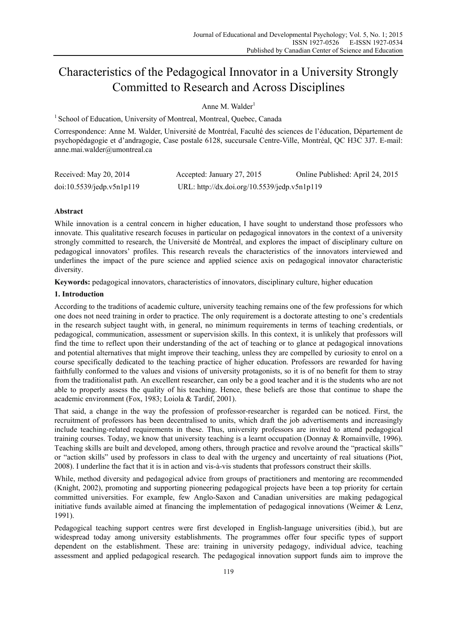# Characteristics of the Pedagogical Innovator in a University Strongly Committed to Research and Across Disciplines

Anne M. Walder<sup>1</sup>

<sup>1</sup> School of Education, University of Montreal, Montreal, Ouebec, Canada

Correspondence: Anne M. Walder, Université de Montréal, Faculté des sciences de l'éducation, Département de psychopédagogie et d'andragogie, Case postale 6128, succursale Centre-Ville, Montréal, QC H3C 3J7. E-mail: anne.mai.walder@umontreal.ca

| Received: May 20, 2014       | Accepted: January 27, 2015                   | Online Published: April 24, 2015 |
|------------------------------|----------------------------------------------|----------------------------------|
| $doi:10.5539/j$ edp.v5n1p119 | URL: http://dx.doi.org/10.5539/jedp.v5n1p119 |                                  |

# **Abstract**

While innovation is a central concern in higher education, I have sought to understand those professors who innovate. This qualitative research focuses in particular on pedagogical innovators in the context of a university strongly committed to research, the Université de Montréal, and explores the impact of disciplinary culture on pedagogical innovators' profiles. This research reveals the characteristics of the innovators interviewed and underlines the impact of the pure science and applied science axis on pedagogical innovator characteristic diversity.

**Keywords:** pedagogical innovators, characteristics of innovators, disciplinary culture, higher education

# **1. Introduction**

According to the traditions of academic culture, university teaching remains one of the few professions for which one does not need training in order to practice. The only requirement is a doctorate attesting to one's credentials in the research subject taught with, in general, no minimum requirements in terms of teaching credentials, or pedagogical, communication, assessment or supervision skills. In this context, it is unlikely that professors will find the time to reflect upon their understanding of the act of teaching or to glance at pedagogical innovations and potential alternatives that might improve their teaching, unless they are compelled by curiosity to enrol on a course specifically dedicated to the teaching practice of higher education. Professors are rewarded for having faithfully conformed to the values and visions of university protagonists, so it is of no benefit for them to stray from the traditionalist path. An excellent researcher, can only be a good teacher and it is the students who are not able to properly assess the quality of his teaching. Hence, these beliefs are those that continue to shape the academic environment (Fox, 1983; Loiola & Tardif, 2001).

That said, a change in the way the profession of professor-researcher is regarded can be noticed. First, the recruitment of professors has been decentralised to units, which draft the job advertisements and increasingly include teaching-related requirements in these. Thus, university professors are invited to attend pedagogical training courses. Today, we know that university teaching is a learnt occupation (Donnay & Romainville, 1996). Teaching skills are built and developed, among others, through practice and revolve around the "practical skills" or "action skills" used by professors in class to deal with the urgency and uncertainty of real situations (Piot, 2008). I underline the fact that it is in action and vis-à-vis students that professors construct their skills.

While, method diversity and pedagogical advice from groups of practitioners and mentoring are recommended (Knight, 2002), promoting and supporting pioneering pedagogical projects have been a top priority for certain committed universities. For example, few Anglo-Saxon and Canadian universities are making pedagogical initiative funds available aimed at financing the implementation of pedagogical innovations (Weimer & Lenz, 1991).

Pedagogical teaching support centres were first developed in English-language universities (ibid.), but are widespread today among university establishments. The programmes offer four specific types of support dependent on the establishment. These are: training in university pedagogy, individual advice, teaching assessment and applied pedagogical research. The pedagogical innovation support funds aim to improve the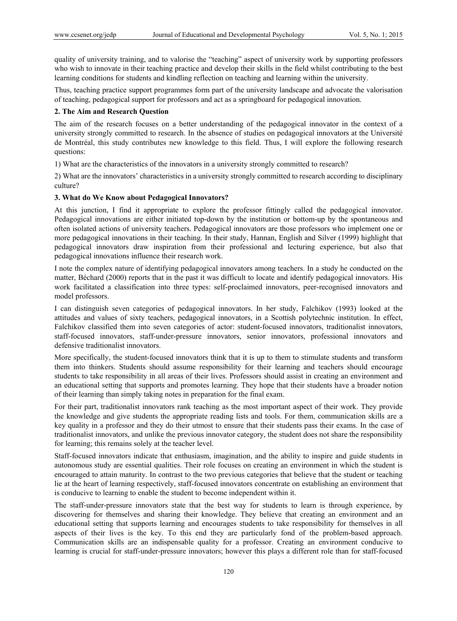quality of university training, and to valorise the "teaching" aspect of university work by supporting professors who wish to innovate in their teaching practice and develop their skills in the field whilst contributing to the best learning conditions for students and kindling reflection on teaching and learning within the university.

Thus, teaching practice support programmes form part of the university landscape and advocate the valorisation of teaching, pedagogical support for professors and act as a springboard for pedagogical innovation.

#### **2. The Aim and Research Question**

The aim of the research focuses on a better understanding of the pedagogical innovator in the context of a university strongly committed to research. In the absence of studies on pedagogical innovators at the Université de Montréal, this study contributes new knowledge to this field. Thus, I will explore the following research questions:

1) What are the characteristics of the innovators in a university strongly committed to research?

2) What are the innovators' characteristics in a university strongly committed to research according to disciplinary culture?

#### **3. What do We Know about Pedagogical Innovators?**

At this junction, I find it appropriate to explore the professor fittingly called the pedagogical innovator. Pedagogical innovations are either initiated top-down by the institution or bottom-up by the spontaneous and often isolated actions of university teachers. Pedagogical innovators are those professors who implement one or more pedagogical innovations in their teaching. In their study, Hannan, English and Silver (1999) highlight that pedagogical innovators draw inspiration from their professional and lecturing experience, but also that pedagogical innovations influence their research work.

I note the complex nature of identifying pedagogical innovators among teachers. In a study he conducted on the matter, Béchard (2000) reports that in the past it was difficult to locate and identify pedagogical innovators. His work facilitated a classification into three types: self-proclaimed innovators, peer-recognised innovators and model professors.

I can distinguish seven categories of pedagogical innovators. In her study, Falchikov (1993) looked at the attitudes and values of sixty teachers, pedagogical innovators, in a Scottish polytechnic institution. In effect, Falchikov classified them into seven categories of actor: student-focused innovators, traditionalist innovators, staff-focused innovators, staff-under-pressure innovators, senior innovators, professional innovators and defensive traditionalist innovators.

More specifically, the student-focused innovators think that it is up to them to stimulate students and transform them into thinkers. Students should assume responsibility for their learning and teachers should encourage students to take responsibility in all areas of their lives. Professors should assist in creating an environment and an educational setting that supports and promotes learning. They hope that their students have a broader notion of their learning than simply taking notes in preparation for the final exam.

For their part, traditionalist innovators rank teaching as the most important aspect of their work. They provide the knowledge and give students the appropriate reading lists and tools. For them, communication skills are a key quality in a professor and they do their utmost to ensure that their students pass their exams. In the case of traditionalist innovators, and unlike the previous innovator category, the student does not share the responsibility for learning; this remains solely at the teacher level.

Staff-focused innovators indicate that enthusiasm, imagination, and the ability to inspire and guide students in autonomous study are essential qualities. Their role focuses on creating an environment in which the student is encouraged to attain maturity. In contrast to the two previous categories that believe that the student or teaching lie at the heart of learning respectively, staff-focused innovators concentrate on establishing an environment that is conducive to learning to enable the student to become independent within it.

The staff-under-pressure innovators state that the best way for students to learn is through experience, by discovering for themselves and sharing their knowledge. They believe that creating an environment and an educational setting that supports learning and encourages students to take responsibility for themselves in all aspects of their lives is the key. To this end they are particularly fond of the problem-based approach. Communication skills are an indispensable quality for a professor. Creating an environment conducive to learning is crucial for staff-under-pressure innovators; however this plays a different role than for staff-focused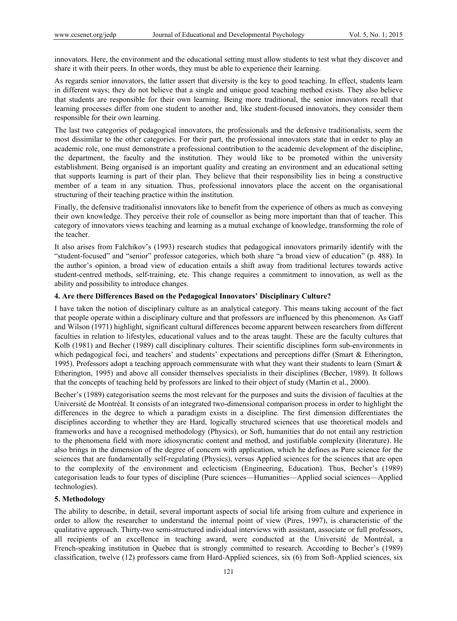innovators. Here, the environment and the educational setting must allow students to test what they discover and share it with their peers. In other words, they must be able to experience their learning.

As regards senior innovators, the latter assert that diversity is the key to good teaching. In effect, students learn in different ways; they do not believe that a single and unique good teaching method exists. They also believe that students are responsible for their own learning. Being more traditional, the senior innovators recall that learning processes differ from one student to another and, like student-focused innovators, they consider them responsible for their own learning.

The last two categories of pedagogical innovators, the professionals and the defensive traditionalists, seem the most dissimilar to the other categories. For their part, the professional innovators state that in order to play an academic role, one must demonstrate a professional contribution to the academic development of the discipline, the department, the faculty and the institution. They would like to be promoted within the university establishment. Being organised is an important quality and creating an environment and an educational setting that supports learning is part of their plan. They believe that their responsibility lies in being a constructive member of a team in any situation. Thus, professional innovators place the accent on the organisational structuring of their teaching practice within the institution.

Finally, the defensive traditionalist innovators like to benefit from the experience of others as much as conveying their own knowledge. They perceive their role of counsellor as being more important than that of teacher. This category of innovators views teaching and learning as a mutual exchange of knowledge, transforming the role of the teacher.

It also arises from Falchikov's (1993) research studies that pedagogical innovators primarily identify with the "student-focused" and "senior" professor categories, which both share "a broad view of education" (p. 488). In the author's opinion, a broad view of education entails a shift away from traditional lectures towards active student-centred methods, self-training, etc. This change requires a commitment to innovation, as well as the ability and possibility to introduce changes.

### **4. Are there Differences Based on the Pedagogical Innovators' Disciplinary Culture?**

I have taken the notion of disciplinary culture as an analytical category. This means taking account of the fact that people operate within a disciplinary culture and that professors are influenced by this phenomenon. As Gaff and Wilson (1971) highlight, significant cultural differences become apparent between researchers from different faculties in relation to lifestyles, educational values and to the areas taught. These are the faculty cultures that Kolb (1981) and Becher (1989) call disciplinary cultures. Their scientific disciplines form sub-environments in which pedagogical foci, and teachers' and students' expectations and perceptions differ (Smart & Etherington, 1995). Professors adopt a teaching approach commensurate with what they want their students to learn (Smart & Etherington, 1995) and above all consider themselves specialists in their disciplines (Becher, 1989). It follows that the concepts of teaching held by professors are linked to their object of study (Martin et al., 2000).

Becher's (1989) categorisation seems the most relevant for the purposes and suits the division of faculties at the Université de Montréal. It consists of an integrated two-dimensional comparison process in order to highlight the differences in the degree to which a paradigm exists in a discipline. The first dimension differentiates the disciplines according to whether they are Hard, logically structured sciences that use theoretical models and frameworks and have a recognised methodology (Physics), or Soft, humanities that do not entail any restriction to the phenomena field with more idiosyncratic content and method, and justifiable complexity (literature). He also brings in the dimension of the degree of concern with application, which he defines as Pure science for the sciences that are fundamentally self-regulating (Physics), versus Applied sciences for the sciences that are open to the complexity of the environment and eclecticism (Engineering, Education). Thus, Becher's (1989) categorisation leads to four types of discipline (Pure sciences—Humanities—Applied social sciences—Applied technologies).

## **5. Methodology**

The ability to describe, in detail, several important aspects of social life arising from culture and experience in order to allow the researcher to understand the internal point of view (Pires, 1997), is characteristic of the qualitative approach. Thirty-two semi-structured individual interviews with assistant, associate or full professors, all recipients of an excellence in teaching award, were conducted at the Université de Montréal, a French-speaking institution in Quebec that is strongly committed to research. According to Becher's (1989) classification, twelve (12) professors came from Hard-Applied sciences, six (6) from Soft-Applied sciences, six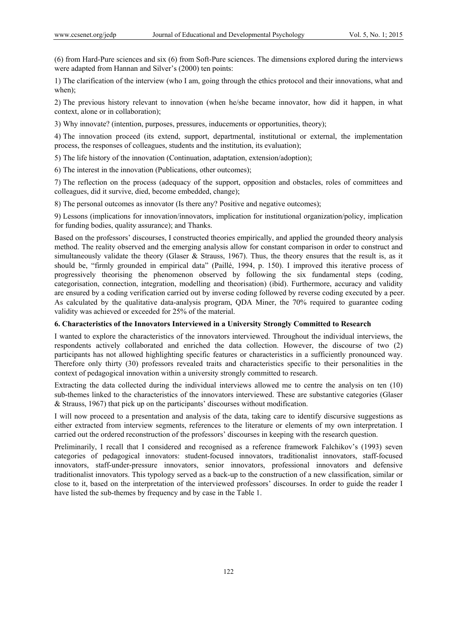(6) from Hard-Pure sciences and six (6) from Soft-Pure sciences. The dimensions explored during the interviews were adapted from Hannan and Silver's (2000) ten points:

1) The clarification of the interview (who I am, going through the ethics protocol and their innovations, what and when);

2) The previous history relevant to innovation (when he/she became innovator, how did it happen, in what context, alone or in collaboration);

3) Why innovate? (intention, purposes, pressures, inducements or opportunities, theory);

4) The innovation proceed (its extend, support, departmental, institutional or external, the implementation process, the responses of colleagues, students and the institution, its evaluation);

5) The life history of the innovation (Continuation, adaptation, extension/adoption);

6) The interest in the innovation (Publications, other outcomes);

7) The reflection on the process (adequacy of the support, opposition and obstacles, roles of committees and colleagues, did it survive, died, become embedded, change);

8) The personal outcomes as innovator (Is there any? Positive and negative outcomes);

9) Lessons (implications for innovation/innovators, implication for institutional organization/policy, implication for funding bodies, quality assurance); and Thanks.

Based on the professors' discourses, I constructed theories empirically, and applied the grounded theory analysis method. The reality observed and the emerging analysis allow for constant comparison in order to construct and simultaneously validate the theory (Glaser  $\&$  Strauss, 1967). Thus, the theory ensures that the result is, as it should be, "firmly grounded in empirical data" (Paillé, 1994, p. 150). I improved this iterative process of progressively theorising the phenomenon observed by following the six fundamental steps (coding, categorisation, connection, integration, modelling and theorisation) (ibid). Furthermore, accuracy and validity are ensured by a coding verification carried out by inverse coding followed by reverse coding executed by a peer. As calculated by the qualitative data-analysis program, QDA Miner, the 70% required to guarantee coding validity was achieved or exceeded for 25% of the material.

#### **6. Characteristics of the Innovators Interviewed in a University Strongly Committed to Research**

I wanted to explore the characteristics of the innovators interviewed. Throughout the individual interviews, the respondents actively collaborated and enriched the data collection. However, the discourse of two (2) participants has not allowed highlighting specific features or characteristics in a sufficiently pronounced way. Therefore only thirty (30) professors revealed traits and characteristics specific to their personalities in the context of pedagogical innovation within a university strongly committed to research.

Extracting the data collected during the individual interviews allowed me to centre the analysis on ten (10) sub-themes linked to the characteristics of the innovators interviewed. These are substantive categories (Glaser & Strauss, 1967) that pick up on the participants' discourses without modification.

I will now proceed to a presentation and analysis of the data, taking care to identify discursive suggestions as either extracted from interview segments, references to the literature or elements of my own interpretation. I carried out the ordered reconstruction of the professors' discourses in keeping with the research question.

Preliminarily, I recall that I considered and recognised as a reference framework Falchikov's (1993) seven categories of pedagogical innovators: student-focused innovators, traditionalist innovators, staff-focused innovators, staff-under-pressure innovators, senior innovators, professional innovators and defensive traditionalist innovators. This typology served as a back-up to the construction of a new classification, similar or close to it, based on the interpretation of the interviewed professors' discourses. In order to guide the reader I have listed the sub-themes by frequency and by case in the Table 1.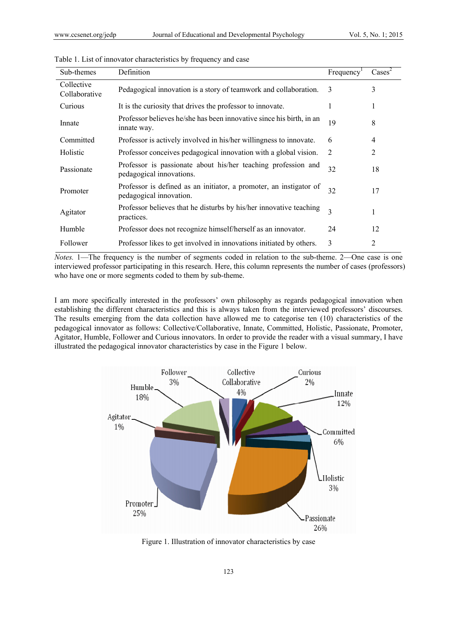| Sub-themes                  | Definition                                                                                    | Frequency <sup>1</sup> | $\text{Case}^2$ |
|-----------------------------|-----------------------------------------------------------------------------------------------|------------------------|-----------------|
| Collective<br>Collaborative | Pedagogical innovation is a story of teamwork and collaboration.                              | 3                      | 3               |
| Curious                     | It is the curiosity that drives the professor to innovate.                                    | 1                      |                 |
| Innate                      | Professor believes he/she has been innovative since his birth, in an<br>innate way.           | 19                     | 8               |
| Committed                   | Professor is actively involved in his/her willingness to innovate.                            | 6                      | 4               |
| Holistic                    | Professor conceives pedagogical innovation with a global vision.                              | $\overline{2}$         | 2               |
| Passionate                  | Professor is passionate about his/her teaching profession and<br>pedagogical innovations.     | 32                     | 18              |
| Promoter                    | Professor is defined as an initiator, a promoter, an instigator of<br>pedagogical innovation. | 32                     | 17              |
| Agitator                    | Professor believes that he disturbs by his/her innovative teaching<br>practices.              | 3                      | п               |
| Humble                      | Professor does not recognize himself/herself as an innovator.                                 | 24                     | 12              |
| Follower                    | Professor likes to get involved in innovations initiated by others.                           | 3                      | 2               |

Table 1. List of innovator characteristics by frequency and case

*Notes.* 1—The frequency is the number of segments coded in relation to the sub-theme. 2—One case is one interviewed professor participating in this research. Here, this column represents the number of cases (professors) who have one or more segments coded to them by sub-theme.

I am more specifically interested in the professors' own philosophy as regards pedagogical innovation when establishing the different characteristics and this is always taken from the interviewed professors' discourses. The results emerging from the data collection have allowed me to categorise ten (10) characteristics of the pedagogical innovator as follows: Collective/Collaborative, Innate, Committed, Holistic, Passionate, Promoter, Agitator, Humble, Follower and Curious innovators. In order to provide the reader with a visual summary, I have illustrated the pedagogical innovator characteristics by case in the Figure 1 below.



Figure 1. Illustration of innovator characteristics by case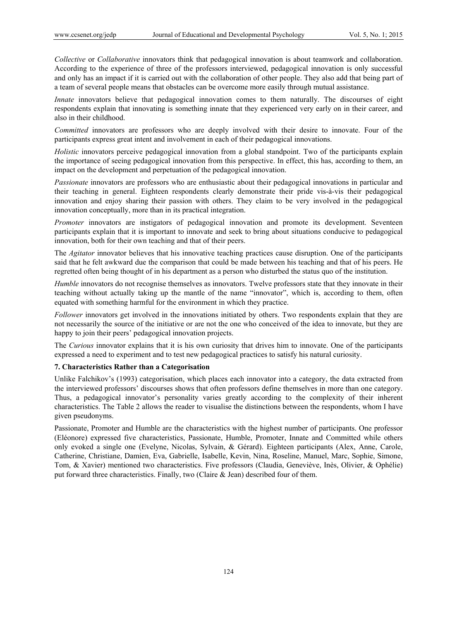*Collective* or *Collaborative* innovators think that pedagogical innovation is about teamwork and collaboration. According to the experience of three of the professors interviewed, pedagogical innovation is only successful and only has an impact if it is carried out with the collaboration of other people. They also add that being part of a team of several people means that obstacles can be overcome more easily through mutual assistance.

*Innate* innovators believe that pedagogical innovation comes to them naturally. The discourses of eight respondents explain that innovating is something innate that they experienced very early on in their career, and also in their childhood.

*Committed* innovators are professors who are deeply involved with their desire to innovate. Four of the participants express great intent and involvement in each of their pedagogical innovations.

*Holistic* innovators perceive pedagogical innovation from a global standpoint. Two of the participants explain the importance of seeing pedagogical innovation from this perspective. In effect, this has, according to them, an impact on the development and perpetuation of the pedagogical innovation.

*Passionate* innovators are professors who are enthusiastic about their pedagogical innovations in particular and their teaching in general. Eighteen respondents clearly demonstrate their pride vis-à-vis their pedagogical innovation and enjoy sharing their passion with others. They claim to be very involved in the pedagogical innovation conceptually, more than in its practical integration.

*Promoter* innovators are instigators of pedagogical innovation and promote its development. Seventeen participants explain that it is important to innovate and seek to bring about situations conducive to pedagogical innovation, both for their own teaching and that of their peers.

The *Agitator* innovator believes that his innovative teaching practices cause disruption. One of the participants said that he felt awkward due the comparison that could be made between his teaching and that of his peers. He regretted often being thought of in his department as a person who disturbed the status quo of the institution.

*Humble* innovators do not recognise themselves as innovators. Twelve professors state that they innovate in their teaching without actually taking up the mantle of the name "innovator", which is, according to them, often equated with something harmful for the environment in which they practice.

*Follower* innovators get involved in the innovations initiated by others. Two respondents explain that they are not necessarily the source of the initiative or are not the one who conceived of the idea to innovate, but they are happy to join their peers' pedagogical innovation projects.

The *Curious* innovator explains that it is his own curiosity that drives him to innovate. One of the participants expressed a need to experiment and to test new pedagogical practices to satisfy his natural curiosity.

#### **7. Characteristics Rather than a Categorisation**

Unlike Falchikov's (1993) categorisation, which places each innovator into a category, the data extracted from the interviewed professors' discourses shows that often professors define themselves in more than one category. Thus, a pedagogical innovator's personality varies greatly according to the complexity of their inherent characteristics. The Table 2 allows the reader to visualise the distinctions between the respondents, whom I have given pseudonyms.

Passionate, Promoter and Humble are the characteristics with the highest number of participants. One professor (Eléonore) expressed five characteristics, Passionate, Humble, Promoter, Innate and Committed while others only evoked a single one (Evelyne, Nicolas, Sylvain, & Gérard). Eighteen participants (Alex, Anne, Carole, Catherine, Christiane, Damien, Eva, Gabrielle, Isabelle, Kevin, Nina, Roseline, Manuel, Marc, Sophie, Simone, Tom, & Xavier) mentioned two characteristics. Five professors (Claudia, Geneviève, Inès, Olivier, & Ophélie) put forward three characteristics. Finally, two (Claire & Jean) described four of them.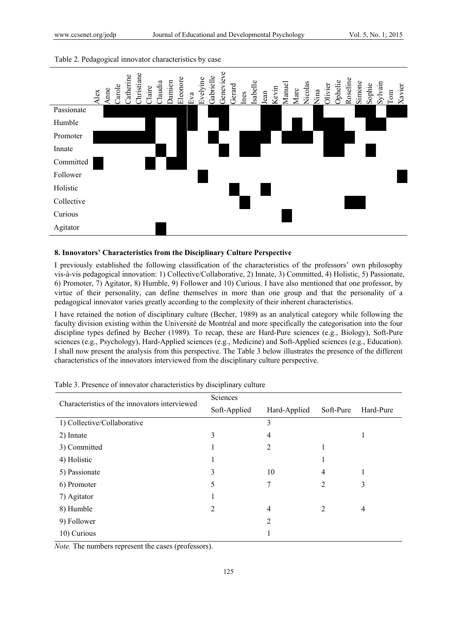

#### Table 2. Pedagogical innovator characteristics by case

# **8. Innovators' Characteristics from the Disciplinary Culture Perspective**

I previously established the following classification of the characteristics of the professors' own philosophy vis-à-vis pedagogical innovation: 1) Collective/Collaborative, 2) Innate, 3) Committed, 4) Holistic, 5) Passionate, 6) Promoter, 7) Agitator, 8) Humble, 9) Follower and 10) Curious. I have also mentioned that one professor, by virtue of their personality, can define themselves in more than one group and that the personality of a pedagogical innovator varies greatly according to the complexity of their inherent characteristics.

I have retained the notion of disciplinary culture (Becher, 1989) as an analytical category while following the faculty division existing within the Université de Montréal and more specifically the categorisation into the four discipline types defined by Becher (1989). To recap, these are Hard-Pure sciences (e.g., Biology), Soft-Pure sciences (e.g., Psychology), Hard-Applied sciences (e.g., Medicine) and Soft-Applied sciences (e.g., Education). I shall now present the analysis from this perspective. The Table 3 below illustrates the presence of the different characteristics of the innovators interviewed from the disciplinary culture perspective.

| Characteristics of the innovators interviewed | Sciences     |              |           |           |  |
|-----------------------------------------------|--------------|--------------|-----------|-----------|--|
|                                               | Soft-Applied | Hard-Applied | Soft-Pure | Hard-Pure |  |
| 1) Collective/Collaborative                   |              | 3            |           |           |  |
| 2) Innate                                     | 3            | 4            |           |           |  |
| 3) Committed                                  |              | 2            |           |           |  |
| 4) Holistic                                   |              |              |           |           |  |
| 5) Passionate                                 | 3            | 10           | 4         |           |  |
| 6) Promoter                                   | 5            | 7            | 2         | 3         |  |
| 7) Agitator                                   |              |              |           |           |  |
| 8) Humble                                     |              | 4            |           | 4         |  |
| 9) Follower                                   |              | 2            |           |           |  |
| 10) Curious                                   |              |              |           |           |  |

Table 3. Presence of innovator characteristics by disciplinary culture

*Note.* The numbers represent the cases (professors).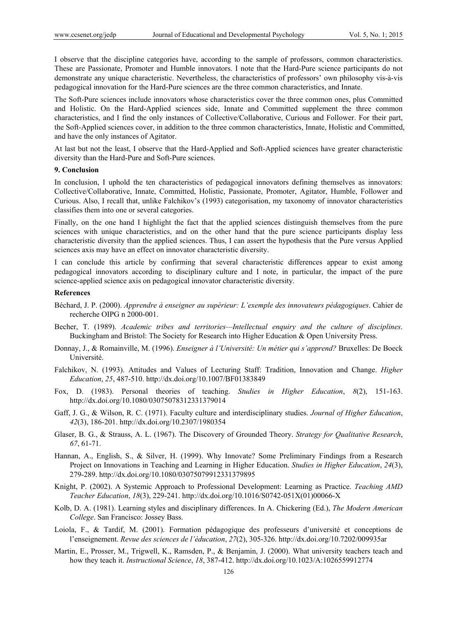I observe that the discipline categories have, according to the sample of professors, common characteristics. These are Passionate, Promoter and Humble innovators. I note that the Hard-Pure science participants do not demonstrate any unique characteristic. Nevertheless, the characteristics of professors' own philosophy vis-à-vis pedagogical innovation for the Hard-Pure sciences are the three common characteristics, and Innate.

The Soft-Pure sciences include innovators whose characteristics cover the three common ones, plus Committed and Holistic. On the Hard-Applied sciences side, Innate and Committed supplement the three common characteristics, and I find the only instances of Collective/Collaborative, Curious and Follower. For their part, the Soft-Applied sciences cover, in addition to the three common characteristics, Innate, Holistic and Committed, and have the only instances of Agitator.

At last but not the least, I observe that the Hard-Applied and Soft-Applied sciences have greater characteristic diversity than the Hard-Pure and Soft-Pure sciences.

#### **9. Conclusion**

In conclusion, I uphold the ten characteristics of pedagogical innovators defining themselves as innovators: Collective/Collaborative, Innate, Committed, Holistic, Passionate, Promoter, Agitator, Humble, Follower and Curious. Also, I recall that, unlike Falchikov's (1993) categorisation, my taxonomy of innovator characteristics classifies them into one or several categories.

Finally, on the one hand I highlight the fact that the applied sciences distinguish themselves from the pure sciences with unique characteristics, and on the other hand that the pure science participants display less characteristic diversity than the applied sciences. Thus, I can assert the hypothesis that the Pure versus Applied sciences axis may have an effect on innovator characteristic diversity.

I can conclude this article by confirming that several characteristic differences appear to exist among pedagogical innovators according to disciplinary culture and I note, in particular, the impact of the pure science-applied science axis on pedagogical innovator characteristic diversity.

#### **References**

- Béchard, J. P. (2000). *Apprendre à enseigner au supérieur: L'exemple des innovateurs pédagogiques*. Cahier de recherche OIPG n 2000-001.
- Becher, T. (1989). *Academic tribes and territories—Intellectual enquiry and the culture of disciplines*. Buckingham and Bristol: The Society for Research into Higher Education & Open University Press.
- Donnay, J., & Romainville, M. (1996). *Enseigner à l'Université: Un métier qui s'apprend?* Bruxelles: De Boeck Université.
- Falchikov, N. (1993). Attitudes and Values of Lecturing Staff: Tradition, Innovation and Change. *Higher Education*, *25*, 487-510. http://dx.doi.org/10.1007/BF01383849
- Fox, D. (1983). Personal theories of teaching. *Studies in Higher Education*, *8*(2), 151-163. http://dx.doi.org/10.1080/03075078312331379014
- Gaff, J. G., & Wilson, R. C. (1971). Faculty culture and interdisciplinary studies. *Journal of Higher Education*, *42*(3), 186-201. http://dx.doi.org/10.2307/1980354
- Glaser, B. G., & Strauss, A. L. (1967). The Discovery of Grounded Theory. *Strategy for Qualitative Research*, *67*, 61-71.
- Hannan, A., English, S., & Silver, H. (1999). Why Innovate? Some Preliminary Findings from a Research Project on Innovations in Teaching and Learning in Higher Education. *Studies in Higher Education*, *24*(3), 279-289. http://dx.doi.org/10.1080/03075079912331379895
- Knight, P. (2002). A Systemic Approach to Professional Development: Learning as Practice. *Teaching AMD Teacher Education*, *18*(3), 229-241. http://dx.doi.org/10.1016/S0742-051X(01)00066-X
- Kolb, D. A. (1981). Learning styles and disciplinary differences. In A. Chickering (Ed.), *The Modern American College*. San Francisco: Jossey Bass.
- Loiola, F., & Tardif, M. (2001). Formation pédagogique des professeurs d'université et conceptions de l'enseignement. *Revue des sciences de l'éducation*, *27*(2), 305-326. http://dx.doi.org/10.7202/009935ar
- Martin, E., Prosser, M., Trigwell, K., Ramsden, P., & Benjamin, J. (2000). What university teachers teach and how they teach it. *Instructional Science*, *18*, 387-412. http://dx.doi.org/10.1023/A:1026559912774